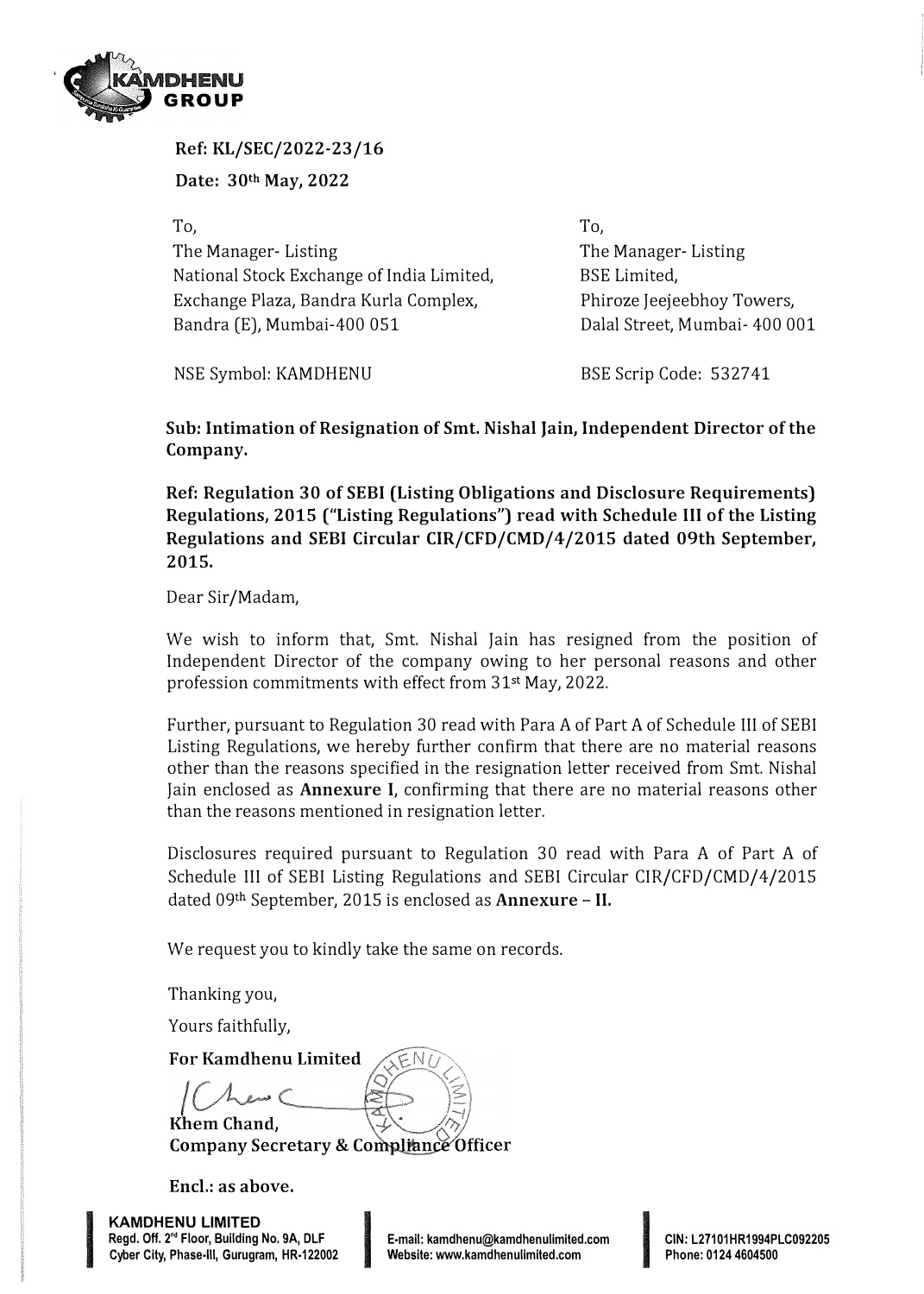

**Ref: KL/SEC/2022-23/16** 

**Date: 30th May, 2022** 

To, The Manager- Listing National Stock Exchange of India Limited, Exchange Plaza, Bandra Kurla Complex, Bandra (E), Mumbai-400 051

To, The Manager- Listing BSE Limited, Phiroze Jeejeebhoy Towers, Dalal Street, Mumbai- 400 001

NSE Symbol: KAMDHENU

BSE Scrip Code: 5327 41

**Sub: Intimation of Resignation of Smt. Nishal Jain, Independent Director of the Company.** 

**Ref: Regulation 30 of SEBI (Listing Obligations and Disclosure Requirements) Regulations, 2015 ("Listing Regulations") read with Schedule** III **of the Listing Regulations and SEBI Circular CIR/CFD/CMD/4/2015 dated 09th September, 2015.** 

Dear Sir/Madam,

We wish to inform that, Smt. Nishal Jain has resigned from the position of Independent Director of the company owing to her personal reasons and other profession commitments with effect from 31st May, 2022.

Further, pursuant to Regulation 30 read with Para A of Part A of Schedule III of SEBI Listing Regulations, we hereby further confirm that there are no material reasons other than the reasons specified in the resignation letter received from Smt. Nishal Jain enclosed as **Annexure** I, confirming that there are no material reasons other than the reasons mentioned in resignation letter.

Disclosures required pursuant to Regulation 30 read with Para A of Part A of Schedule III of SEBI Listing Regulations and SEBI Circular CIR/CFD/CMD/4/2015 dated 09<sup>t</sup>h September, 2015 is enclosed as **Annexure** - II.

We request you to kindly take the same on records.

Thanking you,

Yours faithfully,

For Kamdhenu Limited

Khem Chand. **Company Secretary & Compliance Officer** 

**Encl.: as above.** 

**KAMDHENU LIMITED**  Regd. Off. 2<sup>nd</sup> Floor, Building No. 9A, DLF Encl.: as above.<br>KAMDHENU LIMITED<br>Regd. Off. 2<sup>nd</sup> Floor, Building No. 9A, DLF **I F-mail: kamdhenu@kamdhenulimited.com**<br>Cyber City, Phase-III, Gurugram, HR-122002 **I Website: www.kamdhenulimited.com** 

**INSTRUCTION CONTINUES** 

E-mail: kamdhenu@kamdhenulimited.com<br>Mebsite: www.kamdhenulimited.com<br>Phone: 0124 4604500

**Phone: 0124 4604500**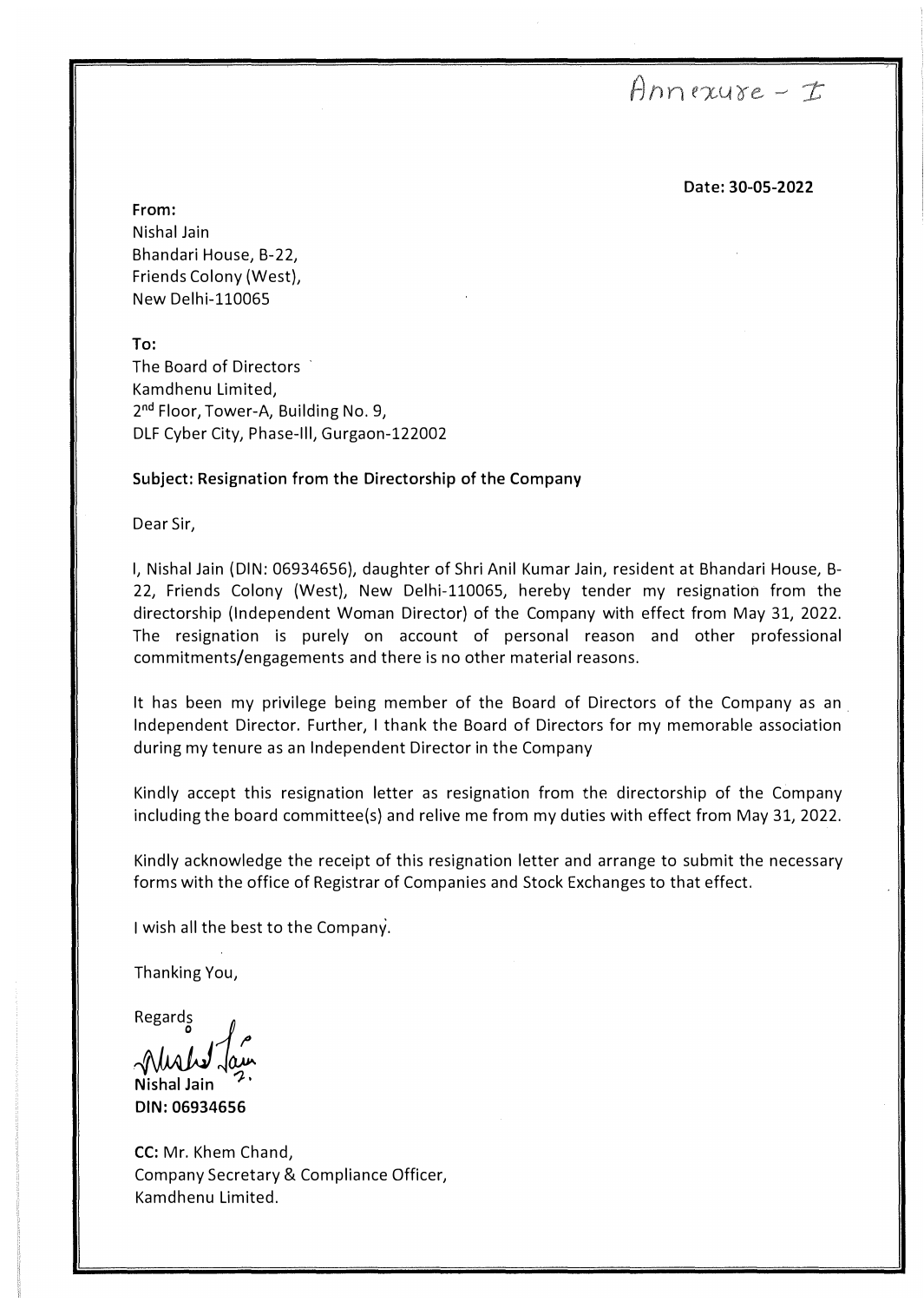## $Anrxuse-E$

**Date: 30-05-2022** 

**From:**  Nishal Jain Bhandari House, B-22, Friends Colony (West), New Delhi-110065

**To:**  The Board of Directors Kamdhenu Limited, 2<sup>nd</sup> Floor, Tower-A, Building No. 9, DLF Cyber City, Phase-Ill, Gurgaon-122002

## **Subject: Resignation from the Directorship of the Company**

Dear Sir,

I, Nishal Jain (DIN: 06934656), daughter of Shri Anil Kumar Jain, resident at Bhandari House, B-22, Friends Colony (West), New Delhi-110065, hereby tender my resignation from the directorship (Independent Woman Director) of the Company with effect from May 31, 2022. The resignation is purely on account of personal reason and other professional commitments/engagements and there is no other material reasons.

It has been my privilege being member of the Board of Directors of the Company as an . Independent Director. Further, I thank the Board of Directors for my memorable association during my tenure as an Independent Director in the Company

Kindly accept this resignation letter as resignation from the directorship of the Company including the board committee(s) and relive me from my duties with effect from May 31, 2022.

Kindly acknowledge the receipt of this resignation letter and arrange to submit the necessary forms with the office of Registrar of Companies and Stock Exchanges to that effect.

I wish all the best to the Company.

Thanking You,

Regard

**Nishal Jain**  $\stackrel{\mathsf{S}}{\mathsf{\circ}}$  ) **DIN: 06934656**

**CC:** Mr. Khem Chand, Company Secretary & Compliance Officer, Kamdhenu Limited.